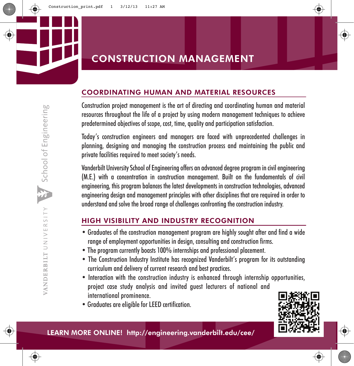## COORDINATING HUMAN AND MATERIAL RESOURCES

Construction project management is the art of directing and coordinating human and material resources throughout the life of a project by using modern management techniques to achieve predetermined objectives of scope, cost, time, quality and participation satisfaction.

Today's construction engineers and managers are faced with unprecedented challenges in planning, designing and managing the construction process and maintaining the public and private facilities required to meet society's needs.

Vanderbilt University School of Engineering offers an advanced degree program in civil engineering (M.E.) with a concentration in construction management. Built on the fundamentals of civil engineering, this program balances the latest developments in construction technologies, advanced engineering design and management principles with other disciplines that are required in order to understand and solve the broad range of challenges confronting the construction industry.

# HIGH VISIBILITY AND INDUSTRY RECOGNITION

- Graduates of the construction management program are highly sought after and find a wide range of employment opportunities in design, consulting and construction firms.
- The program currently boasts 100% internships and professional placement.
- The Construction Industry Institute has recognized Vanderbilt's program for its outstanding curriculum and delivery of current research and best practices.
- Interaction with the construction industry is enhanced through internship opportunities, project case study analysis and invited guest lecturers of national and international prominence.
- Graduates are eligible for LEED certification.